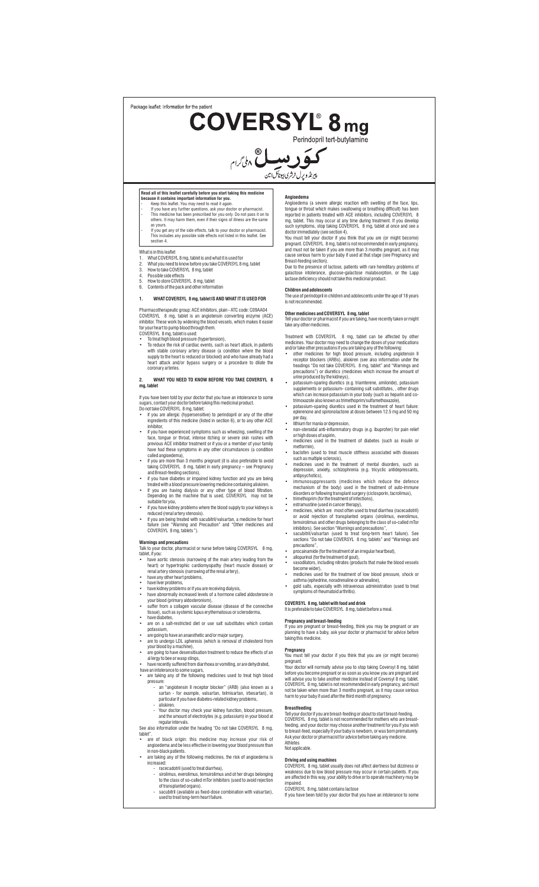Package leaflet: Information for the patier

**COVERSYL<sup>®</sup> 8 mg** 

**گوَرِ بِبِسِل**ْ مِلْ مِنْ مِنْ اِمْرِ<br>پِرِنْدُورِ لِ رُمْرِ بِبِطَانَ بِن

- 
- Read all of this leaflet carefully before you start taking this medicine<br>because it contains important information for you.<br>- Keep this leaflet. You may need to read it again.<br>- If you have any further questions, ask your as yours. - If you get any of the side effects, talk to your doctor or pharmacist. This includes any possible side effects not listed in this leaflet. See
- section 4.

- What is in this leaflet<br>1. What COVERSYL 8 mg, tablet is and what it is used for<br>2. What you need to know before you take COVERSYL 8 mg, tablet<br>3. How to take COVERSYL 8 mg, tablet
- 
- 
- 4. Possible side effects 5. How to store COVERSYL 8 mg, tablet 6. Contents of the pack and other information

## **1. WHAT COVERSYL 8 mg, tablet IS AND WHAT IT IS USED FOR**

Pharmacotherapeutic group: ACE inhibitors, plain - ATC code: C09AA04<br>COVERSYL 8 mg, tablet is an angiotensin converting enzyme (ACE)<br>inhibitor. These work by widening the blood vessels, which makes it easier<br>foryour heart

heart attack and/or bypass surgery or a procedure to dilate the coronary arter

## **2. WHAT YOU NEED TO KNOW BEFORE YOU TAKE COVERSYL 8 mg, tablet**

If you have been told by your doctor that you have an intolerance to some

- sugars, contact your doctor before taking this medicinal product.<br>Do not take COVERSYL 8 mg, tablet:<br>• if you are allergic (hypersensitive) to perindopril or any of the other<br>• if you are allergic (hypersensitive) to perin
- inhibitor, • if you have experienced symptoms such as wheezing, swelling of the face, tongue or throat, intense itching or severe skin rashes with previous ACE inhibitor treatment or if you or a member of your family have had these symptoms in any other circumstances (a condition called angioedema),
- 
- 
- 
- 
- if you are more than 3 months pregnant (it is also preferable to avoid<br>taking COVERSYL. B mg, tablet in early pregnancy see Pregnancy<br>and Breast-feeding sections),<br>the sum depresente conteing medicine containing allist

**Warnings and precautions**<br>Talk to your doctor, pharmacist or nurse before taking COVERSYL 8 mg, tablet, if you:

- have aortic stenosis (narrowing of the main artery leading from the heart) or hypertrophic cardiomyopathy (heart muscle disease) or renal artery stenosis (narrowing of the renal artery),<br>• have any other heart problems,
- have liver problems,
- 
- have kidney problems or if you are receiving dialysis, have abnormally increased levels of a hormone called aldosterone in
- your blood (primary aldosteronism), suffer from a collagen vascular disease (disease of the connective tissue), such as systemic lupus erythematosus or scleroderma,
- have diabetes, are on a salt-restricted diet or use salt substitutes which contain
- 
- 
- 
- potassium,<br>
 are going to have an anaesthetic and/or major surgery,<br>
 are to undergo LDL apheresis (which is removal of cholesterol from<br>
your blood by a machine),<br>
 are going to have desensitisation treatment to reduce
- have an intolerance to some sugars, are taking any of the following medicines used to treat high blood
	- pressure ure:<br>an "angiotensin II receptor blocker" (ARB) (also known as a sartan - for example, valsartan, telmisartan, irbesartan), in particular if you have diabetes-related kidney problems,
		- aliskiren.
	- Your doctor may check your kidney function, blood pressure, and the amount of electrolytes (e.g. potassium) in your blood at

regular intervals. See also information under the heading "Do not take COVERSYL 8 mg,

- tablet".<br>• are of black origin: this medicine may increase your risk of<br>angioedema and be less effective in lowering your blood pressure than<br>in non-black patients.<br>• are taking any of the following medicines, the risk of
	-
	-
	- increased:<br>
	 racecadotril (used to treat diarrhea),<br>
	 sirolimus, everolimus, temsirolimus and ot her drugs belonging<br>
	to the class of so-called mTor inhibitors (used to avoid rejection<br>
	of transplanted organs).<br>
	 sacubi
		-

- **Angioedema** (a severe allergic reaction with swelling of the face, lips, Angioedema (a severe allergic reaction with swelling off the ate, honge or throat which makes swallowing or breathing COVERSYL 8 mg, tablet. This ma
- 
- galactose intolerance, glucose-galactose malabsorption, or the Lapp<br>lactase deficiency should not take this medicinal product.

**Children and adolescents**<br>The use of perindopril in children and adolescents under the age of 18 years<br>is not recommended.

**Other medicines and COVERSYL 8 mg, tablet**<br>Tell your doctor or pharmacist if you are taking, have recently taken or might<br>take any other medicines.

- Treatment with COVERSYL 8 mg, tablet can be affected by other commentions. Your otoctor may need to change the doess of your medications and/or take other medicines for high blood pressure, including angiotensin life of t
- potassium-sparing diuretics (e.g. triamterene, amiloride), potassium supplements or potassium- containing salt substitutes, , other drugs which can increase potassium in your body (such as heparin and co-trimoxazole also known as trimethoprim/sulfamethoxazole),
- potassium-sparing diuretics used in the treatment of heart failure: eplerenone and spironolactone at doses between 12.5 mg and 50 mg per day,
- lithium for mania or depression, non-steroidal anti-inflammatory drugs (e.g. ibuprofen) for pain relief or high doses of aspirin, medicines used in the treatment of diabetes (such as insulin or
- 
- metformin),
- baclofen (used to treat muscle stiffness associated with diseases<br>such as multiple sclerosis),<br>or medicines used in the treatment of mental disorders, such as<br>medicines used in the treatment of mental disorders, such as<br>
- antipsychotics),<br>
 immunosuppressants (medicines which reduce the defence<br>
immunosuppressants (medicines which reduce the defence<br>
mechanism of the body) used in the treatment of auto-immune<br>
disorders or following transp
- 
- 
- sacubitril/valsartan (used to treat long-term heart failure). See sections "Do not take COVERSYL 8 mg, tablets" and "Warnings and
- precautions", • procainamide (for the treatment of an irregular heartbeat),
- allopurinol (for the treatment of gout), vasodilators, including nitrates (products that make the blood vessels
- become wider),
- medicines used for the treatment of low blood pressure, shock or
- asthma (ephedrine, noradrenaline or adrenaline), gold salts, especially with intravenous administration (used to treat symptoms of rheumatoid arthritis).

# **COVERSYL 8 mg, tablet with food and drink** It is preferable to take COVERSYL 8 mg, tablet before a meal.

**Pregnancy and breast-feeding**<br>If you are pregnant or breast-feeding, think you may be pregnant or are<br>planning to have a baby, ask your doctor or pharmacist for advice before<br>taking this medicine.

**Pregnancy** You must tell your doctor if you think that you are (or might become) pregnant. Your doctor will normally advise you to stop taking Coversyl 8 mg, tablet before you become pregnant or as soon as you know you are pregnant and will advise you to take another medicine instead of Coversyl 8 mg, tablet.

COVERSYL 8 mg, tablet is not recommended in early pregnancy, and must not be taken when more than 3 months pregnant, as it may cause serious harm to your baby if used after the third month of pregnancy.

## **Breastfeeding**

Tell your doctor if you are breast-feeding or about to start breast-feeding. COVERSYL 8 mg, tablet is not recommended for mothers who are breastfeeding, and your doctor may choose another treatment for you if you wish<br>to breast-feed, especially if your baby is newborn, or was born prematurely. to breast-feed, especially if your baby is newborn, or was born prematurely. Ask your doctor or pharmacist for advice before taking any medicine. Athletes Not applicable.

**Driving and using machines**<br>COVERSYL 8 mg, tablet usually does not affect alertness but dizziness or<br>weakness due to low blood pressure may occur in certain patients. If you<br>are affected in this way, your ability to drive

impaired. COVERSYL 8 mg, tablet contains lactose If you have been told by your doctor that you have an intolerance to some